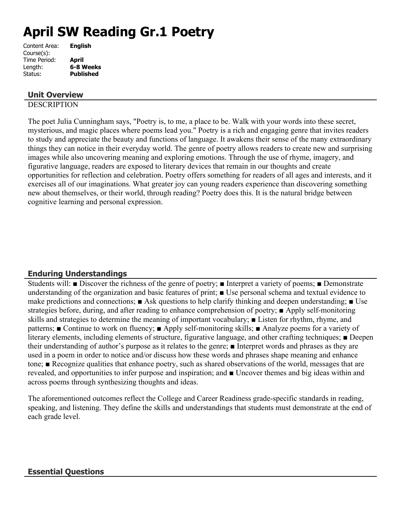# **April SW Reading Gr.1 Poetry**

| <b>English</b>   |
|------------------|
|                  |
| April            |
| 6-8 Weeks        |
| <b>Published</b> |
|                  |

## **Unit Overview**

## **DESCRIPTION**

The poet Julia Cunningham says, "Poetry is, to me, a place to be. Walk with your words into these secret, mysterious, and magic places where poems lead you." Poetry is a rich and engaging genre that invites readers to study and appreciate the beauty and functions of language. It awakens their sense of the many extraordinary things they can notice in their everyday world. The genre of poetry allows readers to create new and surprising images while also uncovering meaning and exploring emotions. Through the use of rhyme, imagery, and figurative language, readers are exposed to literary devices that remain in our thoughts and create opportunities for reflection and celebration. Poetry offers something for readers of all ages and interests, and it exercises all of our imaginations. What greater joy can young readers experience than discovering something new about themselves, or their world, through reading? Poetry does this. It is the natural bridge between cognitive learning and personal expression.

# **Enduring Understandings**

Students will: ■ Discover the richness of the genre of poetry; ■ Interpret a variety of poems; ■ Demonstrate understanding of the organization and basic features of print; ■ Use personal schema and textual evidence to make predictions and connections; ■ Ask questions to help clarify thinking and deepen understanding; ■ Use strategies before, during, and after reading to enhance comprehension of poetry; ■ Apply self-monitoring skills and strategies to determine the meaning of important vocabulary; ■ Listen for rhythm, rhyme, and patterns; ■ Continue to work on fluency; ■ Apply self-monitoring skills; ■ Analyze poems for a variety of literary elements, including elements of structure, figurative language, and other crafting techniques; ■ Deepen their understanding of author's purpose as it relates to the genre; ■ Interpret words and phrases as they are used in a poem in order to notice and/or discuss how these words and phrases shape meaning and enhance tone; ■ Recognize qualities that enhance poetry, such as shared observations of the world, messages that are revealed, and opportunities to infer purpose and inspiration; and ■ Uncover themes and big ideas within and across poems through synthesizing thoughts and ideas.

The aforementioned outcomes reflect the College and Career Readiness grade-specific standards in reading, speaking, and listening. They define the skills and understandings that students must demonstrate at the end of each grade level.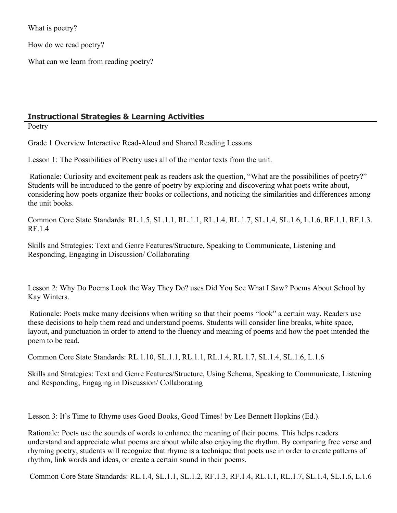What is poetry?

How do we read poetry?

What can we learn from reading poetry?

# **Instructional Strategies & Learning Activities**

Poetry

Grade 1 Overview Interactive Read-Aloud and Shared Reading Lessons

Lesson 1: The Possibilities of Poetry uses all of the mentor texts from the unit.

 Rationale: Curiosity and excitement peak as readers ask the question, "What are the possibilities of poetry?" Students will be introduced to the genre of poetry by exploring and discovering what poets write about, considering how poets organize their books or collections, and noticing the similarities and differences among the unit books.

Common Core State Standards: RL.1.5, SL.1.1, RL.1.1, RL.1.4, RL.1.7, SL.1.4, SL.1.6, L.1.6, RF.1.1, RF.1.3, RF.1.4

Skills and Strategies: Text and Genre Features/Structure, Speaking to Communicate, Listening and Responding, Engaging in Discussion/ Collaborating

Lesson 2: Why Do Poems Look the Way They Do? uses Did You See What I Saw? Poems About School by Kay Winters.

 Rationale: Poets make many decisions when writing so that their poems "look" a certain way. Readers use these decisions to help them read and understand poems. Students will consider line breaks, white space, layout, and punctuation in order to attend to the fluency and meaning of poems and how the poet intended the poem to be read.

Common Core State Standards: RL.1.10, SL.1.1, RL.1.1, RL.1.4, RL.1.7, SL.1.4, SL.1.6, L.1.6

Skills and Strategies: Text and Genre Features/Structure, Using Schema, Speaking to Communicate, Listening and Responding, Engaging in Discussion/ Collaborating

Lesson 3: It's Time to Rhyme uses Good Books, Good Times! by Lee Bennett Hopkins (Ed.).

Rationale: Poets use the sounds of words to enhance the meaning of their poems. This helps readers understand and appreciate what poems are about while also enjoying the rhythm. By comparing free verse and rhyming poetry, students will recognize that rhyme is a technique that poets use in order to create patterns of rhythm, link words and ideas, or create a certain sound in their poems.

Common Core State Standards: RL.1.4, SL.1.1, SL.1.2, RF.1.3, RF.1.4, RL.1.1, RL.1.7, SL.1.4, SL.1.6, L.1.6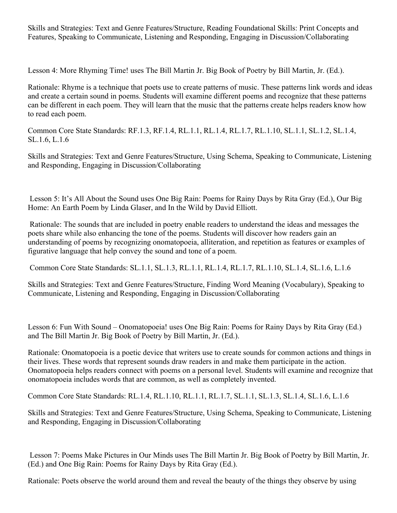Skills and Strategies: Text and Genre Features/Structure, Reading Foundational Skills: Print Concepts and Features, Speaking to Communicate, Listening and Responding, Engaging in Discussion/Collaborating

Lesson 4: More Rhyming Time! uses The Bill Martin Jr. Big Book of Poetry by Bill Martin, Jr. (Ed.).

Rationale: Rhyme is a technique that poets use to create patterns of music. These patterns link words and ideas and create a certain sound in poems. Students will examine different poems and recognize that these patterns can be different in each poem. They will learn that the music that the patterns create helps readers know how to read each poem.

Common Core State Standards: RF.1.3, RF.1.4, RL.1.1, RL.1.4, RL.1.7, RL.1.10, SL.1.1, SL.1.2, SL.1.4, SL.1.6, L.1.6

Skills and Strategies: Text and Genre Features/Structure, Using Schema, Speaking to Communicate, Listening and Responding, Engaging in Discussion/Collaborating

 Lesson 5: It's All About the Sound uses One Big Rain: Poems for Rainy Days by Rita Gray (Ed.), Our Big Home: An Earth Poem by Linda Glaser, and In the Wild by David Elliott.

 Rationale: The sounds that are included in poetry enable readers to understand the ideas and messages the poets share while also enhancing the tone of the poems. Students will discover how readers gain an understanding of poems by recognizing onomatopoeia, alliteration, and repetition as features or examples of figurative language that help convey the sound and tone of a poem.

Common Core State Standards: SL.1.1, SL.1.3, RL.1.1, RL.1.4, RL.1.7, RL.1.10, SL.1.4, SL.1.6, L.1.6

Skills and Strategies: Text and Genre Features/Structure, Finding Word Meaning (Vocabulary), Speaking to Communicate, Listening and Responding, Engaging in Discussion/Collaborating

Lesson 6: Fun With Sound – Onomatopoeia! uses One Big Rain: Poems for Rainy Days by Rita Gray (Ed.) and The Bill Martin Jr. Big Book of Poetry by Bill Martin, Jr. (Ed.).

Rationale: Onomatopoeia is a poetic device that writers use to create sounds for common actions and things in their lives. These words that represent sounds draw readers in and make them participate in the action. Onomatopoeia helps readers connect with poems on a personal level. Students will examine and recognize that onomatopoeia includes words that are common, as well as completely invented.

Common Core State Standards: RL.1.4, RL.1.10, RL.1.1, RL.1.7, SL.1.1, SL.1.3, SL.1.4, SL.1.6, L.1.6

Skills and Strategies: Text and Genre Features/Structure, Using Schema, Speaking to Communicate, Listening and Responding, Engaging in Discussion/Collaborating

 Lesson 7: Poems Make Pictures in Our Minds uses The Bill Martin Jr. Big Book of Poetry by Bill Martin, Jr. (Ed.) and One Big Rain: Poems for Rainy Days by Rita Gray (Ed.).

Rationale: Poets observe the world around them and reveal the beauty of the things they observe by using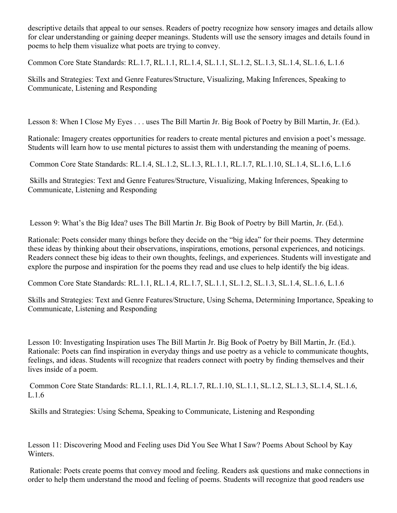descriptive details that appeal to our senses. Readers of poetry recognize how sensory images and details allow for clear understanding or gaining deeper meanings. Students will use the sensory images and details found in poems to help them visualize what poets are trying to convey.

Common Core State Standards: RL.1.7, RL.1.1, RL.1.4, SL.1.1, SL.1.2, SL.1.3, SL.1.4, SL.1.6, L.1.6

Skills and Strategies: Text and Genre Features/Structure, Visualizing, Making Inferences, Speaking to Communicate, Listening and Responding

Lesson 8: When I Close My Eyes . . . uses The Bill Martin Jr. Big Book of Poetry by Bill Martin, Jr. (Ed.).

Rationale: Imagery creates opportunities for readers to create mental pictures and envision a poet's message. Students will learn how to use mental pictures to assist them with understanding the meaning of poems.

Common Core State Standards: RL.1.4, SL.1.2, SL.1.3, RL.1.1, RL.1.7, RL.1.10, SL.1.4, SL.1.6, L.1.6

 Skills and Strategies: Text and Genre Features/Structure, Visualizing, Making Inferences, Speaking to Communicate, Listening and Responding

Lesson 9: What's the Big Idea? uses The Bill Martin Jr. Big Book of Poetry by Bill Martin, Jr. (Ed.).

Rationale: Poets consider many things before they decide on the "big idea" for their poems. They determine these ideas by thinking about their observations, inspirations, emotions, personal experiences, and noticings. Readers connect these big ideas to their own thoughts, feelings, and experiences. Students will investigate and explore the purpose and inspiration for the poems they read and use clues to help identify the big ideas.

Common Core State Standards: RL.1.1, RL.1.4, RL.1.7, SL.1.1, SL.1.2, SL.1.3, SL.1.4, SL.1.6, L.1.6

Skills and Strategies: Text and Genre Features/Structure, Using Schema, Determining Importance, Speaking to Communicate, Listening and Responding

Lesson 10: Investigating Inspiration uses The Bill Martin Jr. Big Book of Poetry by Bill Martin, Jr. (Ed.). Rationale: Poets can find inspiration in everyday things and use poetry as a vehicle to communicate thoughts, feelings, and ideas. Students will recognize that readers connect with poetry by finding themselves and their lives inside of a poem.

 Common Core State Standards: RL.1.1, RL.1.4, RL.1.7, RL.1.10, SL.1.1, SL.1.2, SL.1.3, SL.1.4, SL.1.6, L.1.6

Skills and Strategies: Using Schema, Speaking to Communicate, Listening and Responding

Lesson 11: Discovering Mood and Feeling uses Did You See What I Saw? Poems About School by Kay Winters.

 Rationale: Poets create poems that convey mood and feeling. Readers ask questions and make connections in order to help them understand the mood and feeling of poems. Students will recognize that good readers use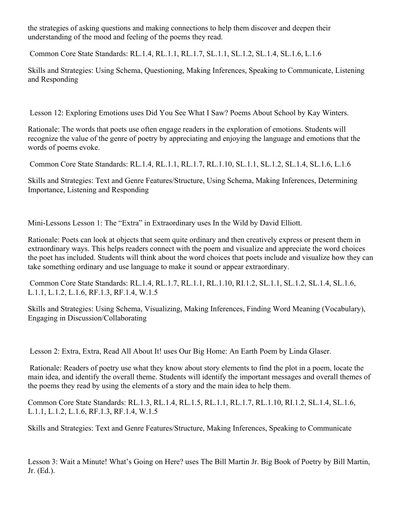the strategies of asking questions and making connections to help them discover and deepen their understanding of the mood and feeling of the poems they read.

Common Core State Standards: RL.1.4, RL.1.1, RL.1.7, SL.1.1, SL.1.2, SL.1.4, SL.1.6, L.1.6

Skills and Strategies: Using Schema, Questioning, Making Inferences, Speaking to Communicate, Listening and Responding

Lesson 12: Exploring Emotions uses Did You See What I Saw? Poems About School by Kay Winters.

Rationale: The words that poets use often engage readers in the exploration of emotions. Students will recognize the value of the genre of poetry by appreciating and enjoying the language and emotions that the words of poems evoke.

Common Core State Standards: RL.1.4, RL.1.1, RL.1.7, RL.1.10, SL.1.1, SL.1.2, SL.1.4, SL.1.6, L.1.6

Skills and Strategies: Text and Genre Features/Structure, Using Schema, Making Inferences, Determining Importance, Listening and Responding

Mini-Lessons Lesson 1: The "Extra" in Extraordinary uses In the Wild by David Elliott.

Rationale: Poets can look at objects that seem quite ordinary and then creatively express or present them in extraordinary ways. This helps readers connect with the poem and visualize and appreciate the word choices the poet has included. Students will think about the word choices that poets include and visualize how they can take something ordinary and use language to make it sound or appear extraordinary.

 Common Core State Standards: RL.1.4, RL.1.7, RL.1.1, RL.1.10, RI.1.2, SL.1.1, SL.1.2, SL.1.4, SL.1.6, L.1.1, L.1.2, L.1.6, RF.1.3, RF.1.4, W.1.5

Skills and Strategies: Using Schema, Visualizing, Making Inferences, Finding Word Meaning (Vocabulary), Engaging in Discussion/Collaborating

Lesson 2: Extra, Extra, Read All About It! uses Our Big Home: An Earth Poem by Linda Glaser.

 Rationale: Readers of poetry use what they know about story elements to find the plot in a poem, locate the main idea, and identify the overall theme. Students will identify the important messages and overall themes of the poems they read by using the elements of a story and the main idea to help them.

Common Core State Standards: RL.1.3, RL.1.4, RL.1.5, RL.1.1, RL.1.7, RL.1.10, RI.1.2, SL.1.4, SL.1.6, L.1.1, L.1.2, L.1.6, RF.1.3, RF.1.4, W.1.5

Skills and Strategies: Text and Genre Features/Structure, Making Inferences, Speaking to Communicate

Lesson 3: Wait a Minute! What's Going on Here? uses The Bill Martin Jr. Big Book of Poetry by Bill Martin, Jr. (Ed.).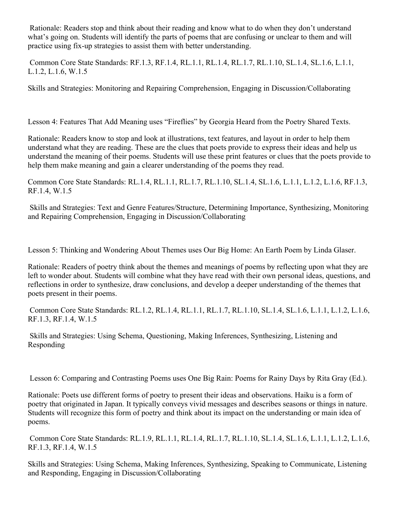Rationale: Readers stop and think about their reading and know what to do when they don't understand what's going on. Students will identify the parts of poems that are confusing or unclear to them and will practice using fix-up strategies to assist them with better understanding.

 Common Core State Standards: RF.1.3, RF.1.4, RL.1.1, RL.1.4, RL.1.7, RL.1.10, SL.1.4, SL.1.6, L.1.1, L.1.2, L.1.6, W.1.5

Skills and Strategies: Monitoring and Repairing Comprehension, Engaging in Discussion/Collaborating

Lesson 4: Features That Add Meaning uses "Fireflies" by Georgia Heard from the Poetry Shared Texts.

Rationale: Readers know to stop and look at illustrations, text features, and layout in order to help them understand what they are reading. These are the clues that poets provide to express their ideas and help us understand the meaning of their poems. Students will use these print features or clues that the poets provide to help them make meaning and gain a clearer understanding of the poems they read.

Common Core State Standards: RL.1.4, RL.1.1, RL.1.7, RL.1.10, SL.1.4, SL.1.6, L.1.1, L.1.2, L.1.6, RF.1.3, RF.1.4, W.1.5

 Skills and Strategies: Text and Genre Features/Structure, Determining Importance, Synthesizing, Monitoring and Repairing Comprehension, Engaging in Discussion/Collaborating

Lesson 5: Thinking and Wondering About Themes uses Our Big Home: An Earth Poem by Linda Glaser.

Rationale: Readers of poetry think about the themes and meanings of poems by reflecting upon what they are left to wonder about. Students will combine what they have read with their own personal ideas, questions, and reflections in order to synthesize, draw conclusions, and develop a deeper understanding of the themes that poets present in their poems.

 Common Core State Standards: RL.1.2, RL.1.4, RL.1.1, RL.1.7, RL.1.10, SL.1.4, SL.1.6, L.1.1, L.1.2, L.1.6, RF.1.3, RF.1.4, W.1.5

 Skills and Strategies: Using Schema, Questioning, Making Inferences, Synthesizing, Listening and Responding

Lesson 6: Comparing and Contrasting Poems uses One Big Rain: Poems for Rainy Days by Rita Gray (Ed.).

Rationale: Poets use different forms of poetry to present their ideas and observations. Haiku is a form of poetry that originated in Japan. It typically conveys vivid messages and describes seasons or things in nature. Students will recognize this form of poetry and think about its impact on the understanding or main idea of poems.

 Common Core State Standards: RL.1.9, RL.1.1, RL.1.4, RL.1.7, RL.1.10, SL.1.4, SL.1.6, L.1.1, L.1.2, L.1.6, RF.1.3, RF.1.4, W.1.5

Skills and Strategies: Using Schema, Making Inferences, Synthesizing, Speaking to Communicate, Listening and Responding, Engaging in Discussion/Collaborating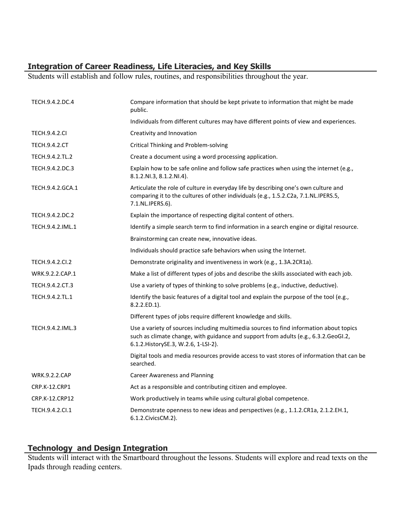# **Integration of Career Readiness, Life Literacies, and Key Skills**

Students will establish and follow rules, routines, and responsibilities throughout the year.

| TECH.9.4.2.DC.4      | Compare information that should be kept private to information that might be made<br>public.                                                                                                                           |
|----------------------|------------------------------------------------------------------------------------------------------------------------------------------------------------------------------------------------------------------------|
|                      | Individuals from different cultures may have different points of view and experiences.                                                                                                                                 |
| <b>TECH.9.4.2.CI</b> | Creativity and Innovation                                                                                                                                                                                              |
| TECH.9.4.2.CT        | Critical Thinking and Problem-solving                                                                                                                                                                                  |
| TECH.9.4.2.TL.2      | Create a document using a word processing application.                                                                                                                                                                 |
| TECH.9.4.2.DC.3      | Explain how to be safe online and follow safe practices when using the internet (e.g.,<br>8.1.2.NI.3, 8.1.2.NI.4).                                                                                                     |
| TECH.9.4.2.GCA.1     | Articulate the role of culture in everyday life by describing one's own culture and<br>comparing it to the cultures of other individuals (e.g., 1.5.2.C2a, 7.1.NL.IPERS.5,<br>7.1.NL.IPERS.6).                         |
| TECH.9.4.2.DC.2      | Explain the importance of respecting digital content of others.                                                                                                                                                        |
| TECH.9.4.2.IML.1     | Identify a simple search term to find information in a search engine or digital resource.                                                                                                                              |
|                      | Brainstorming can create new, innovative ideas.                                                                                                                                                                        |
|                      | Individuals should practice safe behaviors when using the Internet.                                                                                                                                                    |
| TECH.9.4.2.Cl.2      | Demonstrate originality and inventiveness in work (e.g., 1.3A.2CR1a).                                                                                                                                                  |
| WRK.9.2.2.CAP.1      | Make a list of different types of jobs and describe the skills associated with each job.                                                                                                                               |
| TECH.9.4.2.CT.3      | Use a variety of types of thinking to solve problems (e.g., inductive, deductive).                                                                                                                                     |
| TECH.9.4.2.TL.1      | Identify the basic features of a digital tool and explain the purpose of the tool (e.g.,<br>8.2.2.ED.1).                                                                                                               |
|                      | Different types of jobs require different knowledge and skills.                                                                                                                                                        |
| TECH.9.4.2.IML.3     | Use a variety of sources including multimedia sources to find information about topics<br>such as climate change, with guidance and support from adults (e.g., 6.3.2.GeoGI.2,<br>6.1.2. History SE.3, W.2.6, 1-LSI-2). |
|                      | Digital tools and media resources provide access to vast stores of information that can be<br>searched.                                                                                                                |
| <b>WRK.9.2.2.CAP</b> | <b>Career Awareness and Planning</b>                                                                                                                                                                                   |
| CRP.K-12.CRP1        | Act as a responsible and contributing citizen and employee.                                                                                                                                                            |
| CRP.K-12.CRP12       | Work productively in teams while using cultural global competence.                                                                                                                                                     |
| TECH.9.4.2.Cl.1      | Demonstrate openness to new ideas and perspectives (e.g., 1.1.2.CR1a, 2.1.2.EH.1,<br>6.1.2. Civics CM.2).                                                                                                              |

# **Technology and Design Integration**

Students will interact with the Smartboard throughout the lessons. Students will explore and read texts on the Ipads through reading centers.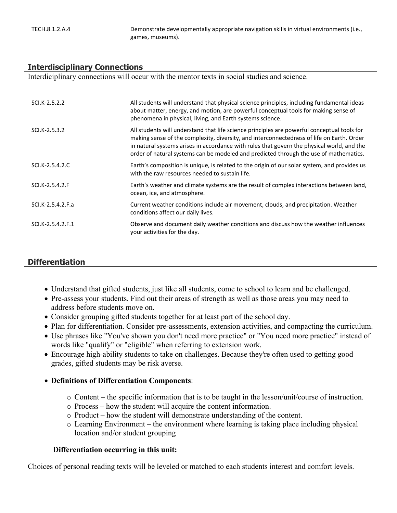TECH.8.1.2.A.4 Demonstrate developmentally appropriate navigation skills in virtual environments (i.e., games, museums).

#### **Interdisciplinary Connections**

Interdiciplinary connections will occur with the mentor texts in social studies and science.

| SCI.K-2.5.2.2     | All students will understand that physical science principles, including fundamental ideas<br>about matter, energy, and motion, are powerful conceptual tools for making sense of<br>phenomena in physical, living, and Earth systems science.                                                                                                                                  |
|-------------------|---------------------------------------------------------------------------------------------------------------------------------------------------------------------------------------------------------------------------------------------------------------------------------------------------------------------------------------------------------------------------------|
| SCI.K-2.5.3.2     | All students will understand that life science principles are powerful conceptual tools for<br>making sense of the complexity, diversity, and interconnectedness of life on Earth. Order<br>in natural systems arises in accordance with rules that govern the physical world, and the<br>order of natural systems can be modeled and predicted through the use of mathematics. |
| SCI.K-2.5.4.2.C   | Earth's composition is unique, is related to the origin of our solar system, and provides us<br>with the raw resources needed to sustain life.                                                                                                                                                                                                                                  |
| SCI.K-2.5.4.2.F   | Earth's weather and climate systems are the result of complex interactions between land,<br>ocean, ice, and atmosphere.                                                                                                                                                                                                                                                         |
| SCI.K-2.5.4.2.F.a | Current weather conditions include air movement, clouds, and precipitation. Weather<br>conditions affect our daily lives.                                                                                                                                                                                                                                                       |
| SCI.K-2.5.4.2.F.1 | Observe and document daily weather conditions and discuss how the weather influences<br>your activities for the day.                                                                                                                                                                                                                                                            |

#### **Differentiation**

- Understand that gifted students, just like all students, come to school to learn and be challenged.
- Pre-assess your students. Find out their areas of strength as well as those areas you may need to address before students move on.
- Consider grouping gifted students together for at least part of the school day.
- Plan for differentiation. Consider pre-assessments, extension activities, and compacting the curriculum.
- Use phrases like "You've shown you don't need more practice" or "You need more practice" instead of words like "qualify" or "eligible" when referring to extension work.
- Encourage high-ability students to take on challenges. Because they're often used to getting good grades, gifted students may be risk averse.

#### **Definitions of Differentiation Components**:

- o Content the specific information that is to be taught in the lesson/unit/course of instruction.
- o Process how the student will acquire the content information.
- o Product how the student will demonstrate understanding of the content.
- o Learning Environment the environment where learning is taking place including physical location and/or student grouping

#### **Differentiation occurring in this unit:**

Choices of personal reading texts will be leveled or matched to each students interest and comfort levels.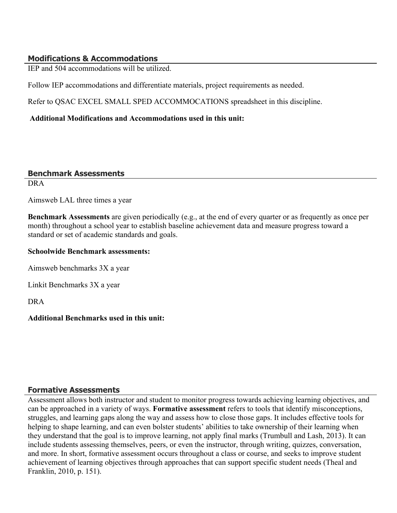# **Modifications & Accommodations**

IEP and 504 accommodations will be utilized.

Follow IEP accommodations and differentiate materials, project requirements as needed.

Refer to QSAC EXCEL SMALL SPED ACCOMMOCATIONS spreadsheet in this discipline.

 **Additional Modifications and Accommodations used in this unit:**

## **Benchmark Assessments**

DRA

Aimsweb LAL three times a year

**Benchmark Assessments** are given periodically (e.g., at the end of every quarter or as frequently as once per month) throughout a school year to establish baseline achievement data and measure progress toward a standard or set of academic standards and goals.

#### **Schoolwide Benchmark assessments:**

Aimsweb benchmarks 3X a year

Linkit Benchmarks 3X a year

DRA

#### **Additional Benchmarks used in this unit:**

#### **Formative Assessments**

Assessment allows both instructor and student to monitor progress towards achieving learning objectives, and can be approached in a variety of ways. **Formative assessment** refers to tools that identify misconceptions, struggles, and learning gaps along the way and assess how to close those gaps. It includes effective tools for helping to shape learning, and can even bolster students' abilities to take ownership of their learning when they understand that the goal is to improve learning, not apply final marks (Trumbull and Lash, 2013). It can include students assessing themselves, peers, or even the instructor, through writing, quizzes, conversation, and more. In short, formative assessment occurs throughout a class or course, and seeks to improve student achievement of learning objectives through approaches that can support specific student needs (Theal and Franklin, 2010, p. 151).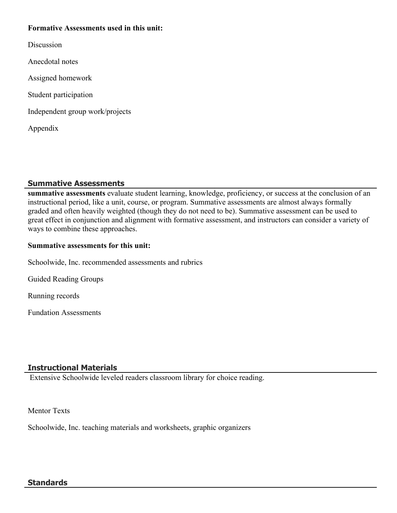#### **Formative Assessments used in this unit:**

**Discussion** 

Anecdotal notes

Assigned homework

Student participation

Independent group work/projects

Appendix

# **Summative Assessments**

**summative assessments** evaluate student learning, knowledge, proficiency, or success at the conclusion of an instructional period, like a unit, course, or program. Summative assessments are almost always formally graded and often heavily weighted (though they do not need to be). Summative assessment can be used to great effect in conjunction and alignment with formative assessment, and instructors can consider a variety of ways to combine these approaches.

## **Summative assessments for this unit:**

Schoolwide, Inc. recommended assessments and rubrics

Guided Reading Groups

Running records

Fundation Assessments

# **Instructional Materials**

Extensive Schoolwide leveled readers classroom library for choice reading.

Mentor Texts

Schoolwide, Inc. teaching materials and worksheets, graphic organizers

#### **Standards**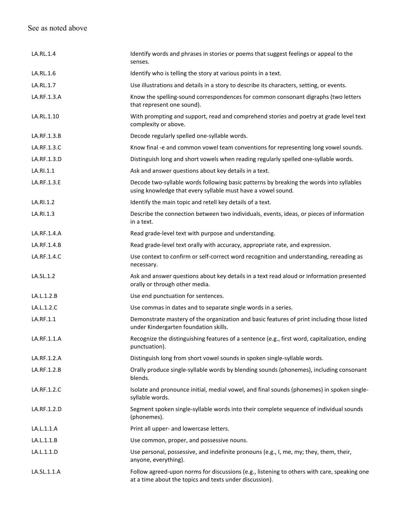# See as noted above

| LA.RL.1.4   | Identify words and phrases in stories or poems that suggest feelings or appeal to the<br>senses.                                                        |
|-------------|---------------------------------------------------------------------------------------------------------------------------------------------------------|
| LA.RL.1.6   | Identify who is telling the story at various points in a text.                                                                                          |
| LA.RL.1.7   | Use illustrations and details in a story to describe its characters, setting, or events.                                                                |
| LA.RF.1.3.A | Know the spelling-sound correspondences for common consonant digraphs (two letters<br>that represent one sound).                                        |
| LA.RL.1.10  | With prompting and support, read and comprehend stories and poetry at grade level text<br>complexity or above.                                          |
| LA.RF.1.3.B | Decode regularly spelled one-syllable words.                                                                                                            |
| LA.RF.1.3.C | Know final -e and common vowel team conventions for representing long vowel sounds.                                                                     |
| LA.RF.1.3.D | Distinguish long and short vowels when reading regularly spelled one-syllable words.                                                                    |
| LA.RI.1.1   | Ask and answer questions about key details in a text.                                                                                                   |
| LA.RF.1.3.E | Decode two-syllable words following basic patterns by breaking the words into syllables<br>using knowledge that every syllable must have a vowel sound. |
| LA.RI.1.2   | Identify the main topic and retell key details of a text.                                                                                               |
| LA.RI.1.3   | Describe the connection between two individuals, events, ideas, or pieces of information<br>in a text.                                                  |
| LA.RF.1.4.A | Read grade-level text with purpose and understanding.                                                                                                   |
| LA.RF.1.4.B | Read grade-level text orally with accuracy, appropriate rate, and expression.                                                                           |
| LA.RF.1.4.C | Use context to confirm or self-correct word recognition and understanding, rereading as<br>necessary.                                                   |
| LA.SL.1.2   | Ask and answer questions about key details in a text read aloud or information presented<br>orally or through other media.                              |
| LA.L.1.2.B  | Use end punctuation for sentences.                                                                                                                      |
| LA.L.1.2.C  | Use commas in dates and to separate single words in a series.                                                                                           |
| LA.RF.1.1   | Demonstrate mastery of the organization and basic features of print including those listed<br>under Kindergarten foundation skills.                     |
| LA.RF.1.1.A | Recognize the distinguishing features of a sentence (e.g., first word, capitalization, ending<br>punctuation).                                          |
| LA.RF.1.2.A | Distinguish long from short vowel sounds in spoken single-syllable words.                                                                               |
| LA.RF.1.2.B | Orally produce single-syllable words by blending sounds (phonemes), including consonant<br>blends.                                                      |
| LA.RF.1.2.C | Isolate and pronounce initial, medial vowel, and final sounds (phonemes) in spoken single-<br>syllable words.                                           |
| LA.RF.1.2.D | Segment spoken single-syllable words into their complete sequence of individual sounds<br>(phonemes).                                                   |
| LA.L.1.1.A  | Print all upper- and lowercase letters.                                                                                                                 |
| LA.L.1.1.B  | Use common, proper, and possessive nouns.                                                                                                               |
| LA.L.1.1.D  | Use personal, possessive, and indefinite pronouns (e.g., I, me, my; they, them, their,<br>anyone, everything).                                          |
| LA.SL.1.1.A | Follow agreed-upon norms for discussions (e.g., listening to others with care, speaking one<br>at a time about the topics and texts under discussion).  |